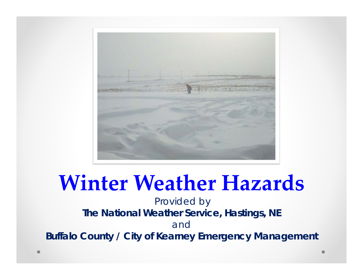

### **Winter Weather Hazards**

*Provided by The National Weather Service, Hastings, NE and Buffalo County / City of Kearney Emergency Management*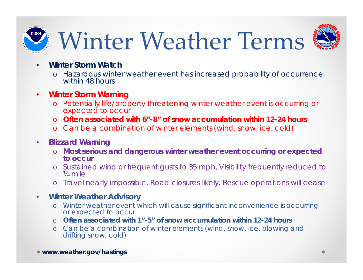



- • **Winter Storm Watch**
	- o Hazardous winter weather event has increased probability of occurrence within 48 hours
- • **Winter Storm Warning**
	- o Potentially life/property threatening winter weather event is occurring or expected to occur
	- o **Often associated with 6"-8" of snow accumulation within 12-24 hours**
	- o Can be a combination of winter elements (wind, snow, ice, cold)
- $\bullet$  **Blizzard Warning**
	- o **Most serious and dangerous winter weather event occurring or expected to occur**
	- o Sustained wind or frequent gusts to 35 mph, Visibility frequently reduced to ¼ mile
	- o Travel nearly impossible. Road closures likely. Rescue operations will cease
- $\bullet$  **Winter Weather Advisory**
	- o Winter weather event which will cause significant inconvenience is occurring or expected to occur
	- o **Often associated with 1"-5" of snow accumulation within 12-24 hours**
	- o Can be a combination of winter elements (wind, snow, ice, blowing and drifting snow, cold)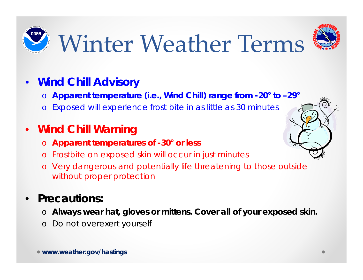# Winter Weather Terms



#### $\bullet$ **Wind Chill Advisory**

o **Apparent temperature (i.e., Wind Chill) range from -20° to –29°**

o Exposed will experience frost bite in as little as 30 minutes

### • **Wind Chill Warning**

- o **Apparent temperatures of -30° or less**
- o Frostbite on exposed skin will occur in just minutes
- o Very dangerous and potentially life threatening to those outside without proper protection

#### •**Precautions:**

- o **Always wear hat, gloves or mittens. Cover all of your exposed skin.**
- o Do not overexert yourself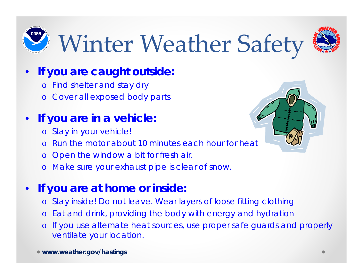

## Winter Weather Safety

#### $\bullet$ **If you are caught outside:**

- o Find shelter and stay dry
- o Cover all exposed body parts

#### •**If you are in a vehicle:**

- o Stay in your vehicle!
- o Run the motor about 10 minutes each hour for heat
- o Open the window a bit for fresh air.
- o Make sure your exhaust pipe is clear of snow.

#### •**If you are at home or inside:**

- o Stay inside! Do not leave. Wear layers of loose fitting clothing
- o Eat and drink, providing the body with energy and hydration
- o If you use alternate heat sources, use proper safe guards and properly ventilate your location.